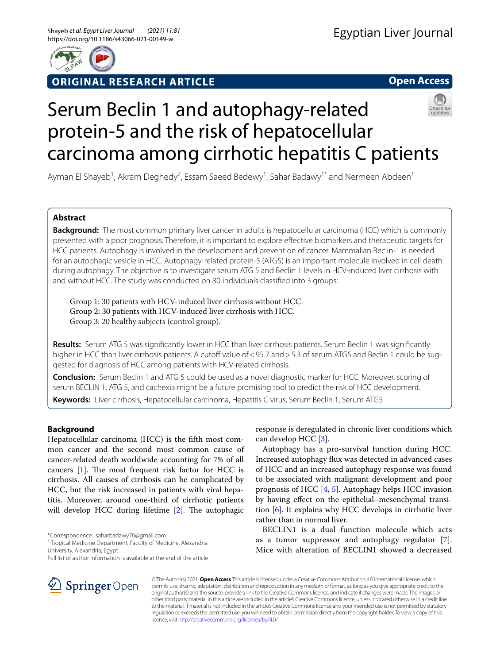

## **ORIGINAL RESEARCH ARTICLE**

**Open Access**

# Serum Beclin 1 and autophagy-related protein-5 and the risk of hepatocellular carcinoma among cirrhotic hepatitis C patients

Ayman El Shayeb<sup>1</sup>, Akram Deghedy<sup>2</sup>, Essam Saeed Bedewy<sup>1</sup>, Sahar Badawy<sup>1\*</sup> and Nermeen Abdeen<sup>1</sup>

## **Abstract**

**Background:** The most common primary liver cancer in adults is hepatocellular carcinoma (HCC) which is commonly presented with a poor prognosis. Therefore, it is important to explore effective biomarkers and therapeutic targets for HCC patients. Autophagy is involved in the development and prevention of cancer. Mammalian Beclin-1 is needed for an autophagic vesicle in HCC. Autophagy-related protein-5 (ATG5) is an important molecule involved in cell death during autophagy. The objective is to investigate serum ATG 5 and Beclin 1 levels in HCV-induced liver cirrhosis with and without HCC. The study was conducted on 80 individuals classifed into 3 groups:

Group 1: 30 patients with HCV-induced liver cirrhosis without HCC. Group 2: 30 patients with HCV-induced liver cirrhosis with HCC. Group 3: 20 healthy subjects (control group).

**Results:** Serum ATG 5 was signifcantly lower in HCC than liver cirrhosis patients. Serum Beclin 1 was signifcantly higher in HCC than liver cirrhosis patients. A cutoff value of < 95.7 and > 5.3 of serum ATG5 and Beclin 1 could be suggested for diagnosis of HCC among patients with HCV-related cirrhosis.

**Conclusion:** Serum Beclin 1 and ATG 5 could be used as a novel diagnostic marker for HCC. Moreover, scoring of serum BECLIN 1, ATG 5, and cachexia might be a future promising tool to predict the risk of HCC development.

**Keywords:** Liver cirrhosis, Hepatocellular carcinoma, Hepatitis C virus, Serum Beclin 1, Serum ATG5

## **Background**

Hepatocellular carcinoma (HCC) is the ffth most common cancer and the second most common cause of cancer-related death worldwide accounting for 7% of all cancers  $[1]$ . The most frequent risk factor for HCC is cirrhosis. All causes of cirrhosis can be complicated by HCC, but the risk increased in patients with viral hepatitis. Moreover, around one-third of cirrhotic patients will develop HCC during lifetime  $[2]$  $[2]$ . The autophagic

\*Correspondence: saharbadawy70@gmail.com

<sup>1</sup> Tropical Medicine Department, Faculty of Medicine, Alexandria University, Alexandria, Egypt

Full list of author information is available at the end of the article

response is deregulated in chronic liver conditions which can develop HCC [\[3](#page-6-2)].

Autophagy has a pro-survival function during HCC. Increased autophagy fux was detected in advanced cases of HCC and an increased autophagy response was found to be associated with malignant development and poor prognosis of HCC [\[4](#page-6-3), [5](#page-6-4)]. Autophagy helps HCC invasion by having efect on the epithelial–mesenchymal transition [[6\]](#page-6-5). It explains why HCC develops in cirrhotic liver rather than in normal liver.

BECLIN1 is a dual function molecule which acts as a tumor suppressor and autophagy regulator [[7](#page-6-6)]. Mice with alteration of BECLIN1 showed a decreased



© The Author(s) 2021. **Open Access** This article is licensed under a Creative Commons Attribution 4.0 International License, which permits use, sharing, adaptation, distribution and reproduction in any medium or format, as long as you give appropriate credit to the original author(s) and the source, provide a link to the Creative Commons licence, and indicate if changes were made. The images or other third party material in this article are included in the article's Creative Commons licence, unless indicated otherwise in a credit line to the material. If material is not included in the article's Creative Commons licence and your intended use is not permitted by statutory regulation or exceeds the permitted use, you will need to obtain permission directly from the copyright holder. To view a copy of this licence, visit [http://creativecommons.org/licenses/by/4.0/.](http://creativecommons.org/licenses/by/4.0/)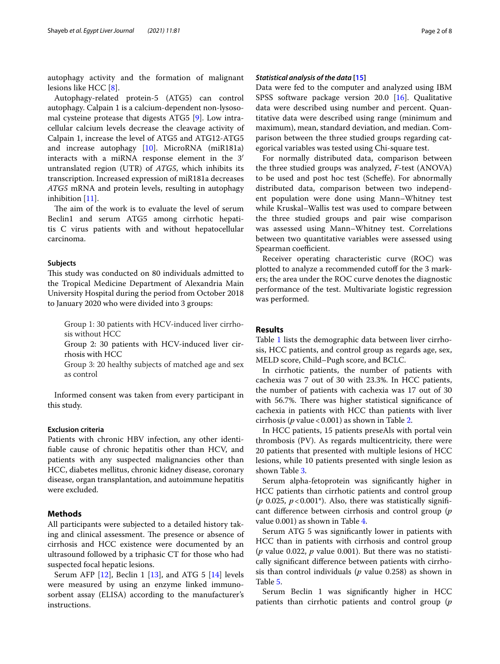autophagy activity and the formation of malignant lesions like HCC [\[8](#page-6-7)].

Autophagy-related protein-5 (ATG5) can control autophagy. Calpain 1 is a calcium-dependent non-lysosomal cysteine protease that digests ATG5 [[9\]](#page-7-0). Low intracellular calcium levels decrease the cleavage activity of Calpain 1, increase the level of ATG5 and ATG12-ATG5 and increase autophagy [[10\]](#page-7-1). MicroRNA (miR181a) interacts with a miRNA response element in the 3′ untranslated region (UTR) of *ATG5*, which inhibits its transcription. Increased expression of miR181a decreases *ATG5* mRNA and protein levels, resulting in autophagy inhibition [[11](#page-7-2)].

The aim of the work is to evaluate the level of serum Beclin1 and serum ATG5 among cirrhotic hepatitis C virus patients with and without hepatocellular carcinoma.

#### **Subjects**

This study was conducted on 80 individuals admitted to the Tropical Medicine Department of Alexandria Main University Hospital during the period from October 2018 to January 2020 who were divided into 3 groups:

Group 1: 30 patients with HCV-induced liver cirrhosis without HCC

Group 2: 30 patients with HCV-induced liver cirrhosis with HCC

Group 3: 20 healthy subjects of matched age and sex as control

Informed consent was taken from every participant in this study.

## **Exclusion criteria**

Patients with chronic HBV infection, any other identifable cause of chronic hepatitis other than HCV, and patients with any suspected malignancies other than HCC, diabetes mellitus, chronic kidney disease, coronary disease, organ transplantation, and autoimmune hepatitis were excluded.

## **Methods**

All participants were subjected to a detailed history taking and clinical assessment. The presence or absence of cirrhosis and HCC existence were documented by an ultrasound followed by a triphasic CT for those who had suspected focal hepatic lesions.

Serum AFP  $[12]$  $[12]$  $[12]$ , Beclin 1  $[13]$  $[13]$ , and ATG 5  $[14]$  $[14]$  $[14]$  levels were measured by using an enzyme linked immunosorbent assay (ELISA) according to the manufacturer's instructions.

## *Statistical analysis of the data* **[[15](#page-7-6)]**

Data were fed to the computer and analyzed using IBM SPSS software package version 20.0 [\[16\]](#page-7-7). Qualitative data were described using number and percent. Quantitative data were described using range (minimum and maximum), mean, standard deviation, and median. Comparison between the three studied groups regarding categorical variables was tested using Chi-square test.

For normally distributed data, comparison between the three studied groups was analyzed, *F*-test (ANOVA) to be used and post hoc test (Schefe). For abnormally distributed data, comparison between two independent population were done using Mann–Whitney test while Kruskal–Wallis test was used to compare between the three studied groups and pair wise comparison was assessed using Mann–Whitney test. Correlations between two quantitative variables were assessed using Spearman coefficient.

Receiver operating characteristic curve (ROC) was plotted to analyze a recommended cutoff for the 3 markers; the area under the ROC curve denotes the diagnostic performance of the test. Multivariate logistic regression was performed.

#### **Results**

Table [1](#page-2-0) lists the demographic data between liver cirrhosis, HCC patients, and control group as regards age, sex, MELD score, Child–Pugh score, and BCLC.

In cirrhotic patients, the number of patients with cachexia was 7 out of 30 with 23.3%. In HCC patients, the number of patients with cachexia was 17 out of 30 with 56.7%. There was higher statistical significance of cachexia in patients with HCC than patients with liver cirrhosis ( $p$  value < 0.001) as shown in Table [2](#page-2-1).

In HCC patients, 15 patients preseAls with portal vein thrombosis (PV). As regards multicentricity, there were 20 patients that presented with multiple lesions of HCC lesions, while 10 patients presented with single lesion as shown Table [3](#page-2-2).

Serum alpha-fetoprotein was signifcantly higher in HCC patients than cirrhotic patients and control group ( $p$  0.025,  $p < 0.001$ <sup>\*</sup>). Also, there was statistically significant diference between cirrhosis and control group (*p* value 0.001) as shown in Table [4](#page-3-0).

Serum ATG 5 was signifcantly lower in patients with HCC than in patients with cirrhosis and control group (*p* value 0.022, *p* value 0.001). But there was no statistically signifcant diference between patients with cirrhosis than control individuals (*p* value 0.258) as shown in Table [5](#page-3-1).

Serum Beclin 1 was signifcantly higher in HCC patients than cirrhotic patients and control group (*p*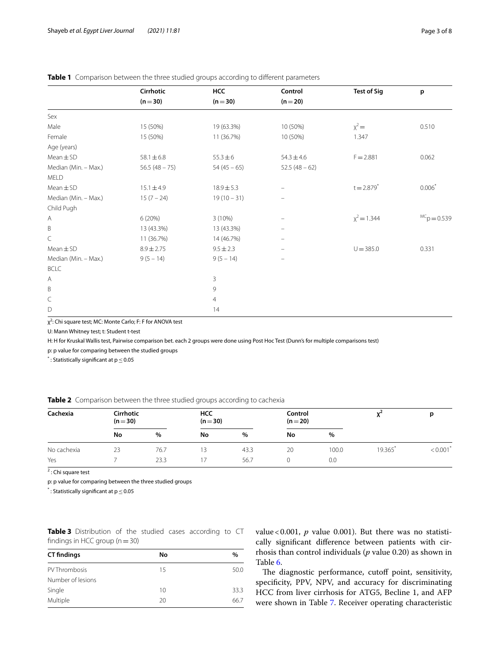|                      | Cirrhotic       | HCC            | Control                        | <b>Test of Sig</b> | p             |
|----------------------|-----------------|----------------|--------------------------------|--------------------|---------------|
|                      | $(n=30)$        | $(n=30)$       | $(n=20)$                       |                    |               |
| Sex                  |                 |                |                                |                    |               |
| Male                 | 15 (50%)        | 19 (63.3%)     | 10 (50%)                       | $x^2 =$            | 0.510         |
| Female               | 15 (50%)        | 11 (36.7%)     | 10 (50%)                       | 1.347              |               |
| Age (years)          |                 |                |                                |                    |               |
| $Mean \pm SD$        | $58.1 \pm 6.8$  | $55.3 \pm 6$   | $54.3 \pm 4.6$                 | $F = 2.881$        | 0.062         |
| Median (Min. - Max.) | $56.5(48 - 75)$ | $54(45-65)$    | $52.5(48-62)$                  |                    |               |
| MELD                 |                 |                |                                |                    |               |
| $Mean \pm SD$        | $15.1 \pm 4.9$  | $18.9 \pm 5.3$ | $\overline{\phantom{m}}$       | $t = 2.879^{*}$    | $0.006*$      |
| Median (Min. - Max.) | $15(7 - 24)$    | $19(10-31)$    | $\qquad \qquad \longleftarrow$ |                    |               |
| Child Pugh           |                 |                |                                |                    |               |
| Α                    | 6(20%)          | $3(10\%)$      | $\qquad \qquad -$              | $x^2 = 1.344$      | $MCp = 0.539$ |
| $\sf B$              | 13 (43.3%)      | 13 (43.3%)     | -                              |                    |               |
| C                    | 11 (36.7%)      | 14 (46.7%)     | $\overline{\phantom{m}}$       |                    |               |
| $Mean \pm SD$        | $8.9 \pm 2.75$  | $9.5 \pm 2.3$  | $\overline{\phantom{m}}$       | $U = 385.0$        | 0.331         |
| Median (Min. - Max.) | $9(5 - 14)$     | $9(5 - 14)$    | $\overline{\phantom{m}}$       |                    |               |
| <b>BCLC</b>          |                 |                |                                |                    |               |
| A                    |                 | 3              |                                |                    |               |
| B                    |                 | 9              |                                |                    |               |
| C                    |                 | 4              |                                |                    |               |
| D                    |                 | 14             |                                |                    |               |

#### <span id="page-2-0"></span>**Table 1** Comparison between the three studied groups according to diferent parameters

χ<sup>2</sup>: Chi square test; MC: Monte Carlo; F: F for ANOVA test

U: Mann Whitney test; t: Student t-test

H: H for Kruskal Wallis test, Pairwise comparison bet. each 2 groups were done using Post Hoc Test (Dunn's for multiple comparisons test)

p: p value for comparing between the studied groups

 $^*$ : Statistically significant at p $\leq$  0.05

<span id="page-2-1"></span>

|  | Table 2 Comparison between the three studied groups according to cachexia |  |  |  |  |  |  |
|--|---------------------------------------------------------------------------|--|--|--|--|--|--|
|--|---------------------------------------------------------------------------|--|--|--|--|--|--|

| Cachexia    | Cirrhotic<br><b>HCC</b><br>$(n=30)$<br>$(n=30)$ |      | Control<br>$(n=20)$ |      |    |       |        |                        |
|-------------|-------------------------------------------------|------|---------------------|------|----|-------|--------|------------------------|
|             | No                                              | $\%$ | No                  | $\%$ | No | %     |        |                        |
| No cachexia | 23                                              | 76.7 | '3                  | 43.3 | 20 | 100.0 | 19.365 | $< 0.001$ <sup>*</sup> |
| Yes         |                                                 | 23.3 |                     | 56.7 |    | 0.0   |        |                        |

<sup>2</sup>: Chi square test

p: p value for comparing between the three studied groups

 $^*$ : Statistically significant at p $\leq$  0.05

<span id="page-2-2"></span>**Table 3** Distribution of the studied cases according to CT findings in HCC group  $(n=30)$ 

| <b>CT</b> findings | No | $\%$ |
|--------------------|----|------|
| PV Thrombosis      | 15 | 50.0 |
| Number of lesions  |    |      |
| Single             | 10 | 33.3 |
| Multiple           | 20 | 66.7 |

value < 0.001, *p* value 0.001). But there was no statistically signifcant diference between patients with cirrhosis than control individuals (*p* value 0.20) as shown in Table [6](#page-3-2).

The diagnostic performance, cutoff point, sensitivity, specificity, PPV, NPV, and accuracy for discriminating HCC from liver cirrhosis for ATG5, Becline 1, and AFP were shown in Table [7](#page-4-0). Receiver operating characteristic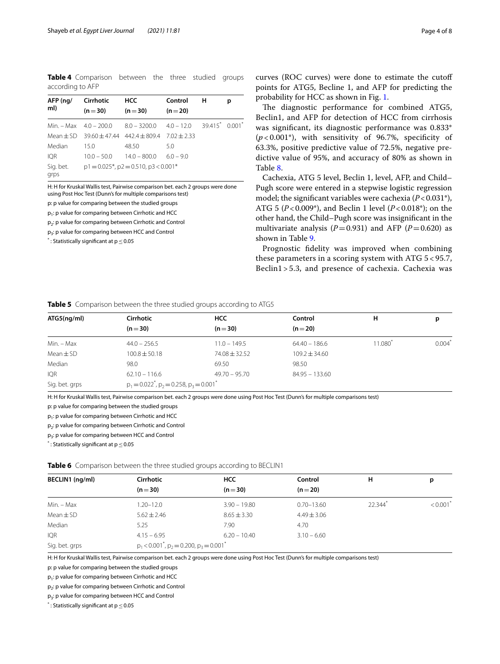<span id="page-3-0"></span>**Table 4** Comparison between the three studied groups according to AFP

| AFP (ng/<br>ml)   | Cirrhotic<br>$(n=30)$ | <b>HCC</b><br>$(n=30)$                                                          | Control<br>$(n=20)$ | н | р |
|-------------------|-----------------------|---------------------------------------------------------------------------------|---------------------|---|---|
|                   |                       | Min. $-$ Max $4.0 - 200.0$ $8.0 - 3200.0$ $4.0 - 12.0$ $39.415^{*}$ $0.001^{*}$ |                     |   |   |
| Mean $\pm$ SD     |                       | $39.60 + 47.44$ $442.4 + 809.4$ $7.02 + 2.33$                                   |                     |   |   |
| Median            | 15.0                  | 48.50                                                                           | 5.0                 |   |   |
| <b>IOR</b>        | $10.0 - 50.0$         | $14.0 - 800.0$                                                                  | $6.0 - 9.0$         |   |   |
| Sig. bet.<br>grps |                       | $p1 = 0.025$ *, $p2 = 0.510$ , $p3 < 0.001$ *                                   |                     |   |   |

H: H for Kruskal Wallis test, Pairwise comparison bet. each 2 groups were done using Post Hoc Test (Dunn's for multiple comparisons test)

p: p value for comparing between the studied groups

p1: p value for comparing between Cirrhotic and HCC

p<sub>2</sub>: p value for comparing between Cirrhotic and Control

p<sub>3</sub>: p value for comparing between HCC and Control

 $^*$ : Statistically significant at p $\leq$  0.05

curves (ROC curves) were done to estimate the cutof points for ATG5, Becline 1, and AFP for predicting the probability for HCC as shown in Fig. [1](#page-4-1).

The diagnostic performance for combined ATG5, Beclin1, and AFP for detection of HCC from cirrhosis was signifcant, its diagnostic performance was 0.833\*  $(p<0.001^*)$ , with sensitivity of 96.7%, specificity of 63.3%, positive predictive value of 72.5%, negative predictive value of 95%, and accuracy of 80% as shown in Table [8.](#page-5-0)

Cachexia, ATG 5 level, Beclin 1, level, AFP, and Child– Pugh score were entered in a stepwise logistic regression model; the signifcant variables were cachexia (*P*<0.031\*), ATG 5 (*P*<0.009\*), and Beclin 1 level (*P*<0.018\*); on the other hand, the Child–Pugh score was insignifcant in the multivariate analysis ( $P=0.931$ ) and AFP ( $P=0.620$ ) as shown in Table [9.](#page-5-1)

Prognostic fdelity was improved when combining these parameters in a scoring system with ATG 5 < 95.7, Beclin1 > 5.3, and presence of cachexia. Cachexia was

#### <span id="page-3-1"></span>**Table 5** Comparison between the three studied groups according to ATG5

| ATG5(ng/ml)    | <b>Cirrhotic</b>                                      | <b>HCC</b>        | Control           | н      | р     |
|----------------|-------------------------------------------------------|-------------------|-------------------|--------|-------|
|                | $(n=30)$                                              | $(n=30)$          | $(n=20)$          |        |       |
| Min. – Max     | $44.0 - 256.5$                                        | $11.0 - 149.5$    | $64.40 - 186.6$   | 11.080 | 0.004 |
| $Mean \pm SD$  | $100.8 \pm 50.18$                                     | $74.08 \pm 32.52$ | $109.2 \pm 34.60$ |        |       |
| Median         | 98.0                                                  | 69.50             | 98.50             |        |       |
| <b>IQR</b>     | $62.10 - 116.6$                                       | $49.70 - 95.70$   | $84.95 - 133.60$  |        |       |
| Sig. bet. grps | $p_1 = 0.022^{\ast}, p_2 = 0.258, p_3 = 0.001^{\ast}$ |                   |                   |        |       |

H: H for Kruskal Wallis test, Pairwise comparison bet. each 2 groups were done using Post Hoc Test (Dunn's for multiple comparisons test)

p: p value for comparing between the studied groups

p<sub>1</sub>: p value for comparing between Cirrhotic and HCC

p<sub>2</sub>: p value for comparing between Cirrhotic and Control

p<sub>3</sub>: p value for comparing between HCC and Control

 $^*$ : Statistically significant at p $\leq$  0.05

#### <span id="page-3-2"></span>**Table 6** Comparison between the three studied groups according to BECLIN1

| BECLIN1 (ng/ml) | <b>Cirrhotic</b>                                                       | HCC             | Control         | н       | р                      |
|-----------------|------------------------------------------------------------------------|-----------------|-----------------|---------|------------------------|
|                 | $(n=30)$                                                               | $(n=30)$        | $(n=20)$        |         |                        |
| Min. - Max      | $1.20 - 12.0$                                                          | $3.90 - 19.80$  | $0.70 - 13.60$  | 22.344* | $< 0.001$ <sup>*</sup> |
| $Mean \pm SD$   | $5.62 \pm 2.46$                                                        | $8.65 \pm 3.30$ | $4.49 \pm 3.06$ |         |                        |
| Median          | 5.25                                                                   | 7.90            | 4.70            |         |                        |
| <b>IQR</b>      | $4.15 - 6.95$                                                          | $6.20 - 10.40$  | $3.10 - 6.60$   |         |                        |
| Sig. bet. grps  | $p_1$ < 0.001 <sup>*</sup> , $p_2$ = 0.200, $p_3$ = 0.001 <sup>*</sup> |                 |                 |         |                        |

H: H for Kruskal Wallis test, Pairwise comparison bet. each 2 groups were done using Post Hoc Test (Dunn's for multiple comparisons test)

p: p value for comparing between the studied groups

 $p_1$ : p value for comparing between Cirrhotic and HCC

p<sub>2</sub>: p value for comparing between Cirrhotic and Control

p<sub>3</sub>: p value for comparing between HCC and Control

 $^*$ : Statistically significant at p $\leq$  0.05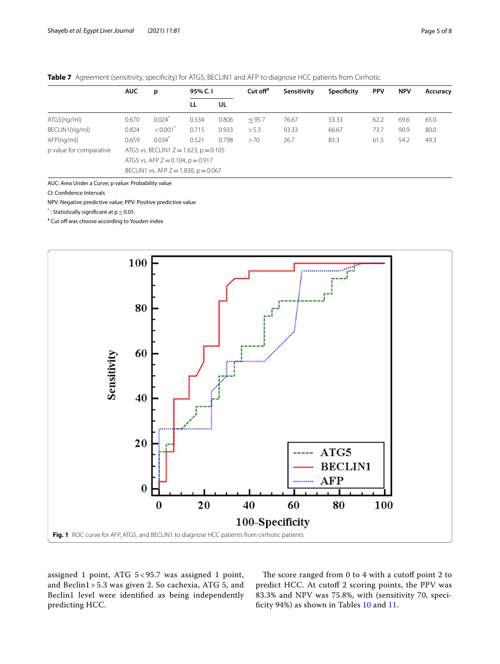<span id="page-4-0"></span>

|  |  |  | Table 7 Agreement (sensitivity, specificity) for ATG5, BECLIN1 and AFP to diagnose HCC patients from Cirrhotic |  |  |  |  |  |  |  |
|--|--|--|----------------------------------------------------------------------------------------------------------------|--|--|--|--|--|--|--|
|--|--|--|----------------------------------------------------------------------------------------------------------------|--|--|--|--|--|--|--|

|                         | <b>AUC</b><br>р                        |                                            | 95% C.I |       | Cut off $#$ | Sensitivity | Specificity | <b>PPV</b> | <b>NPV</b> | Accuracy |
|-------------------------|----------------------------------------|--------------------------------------------|---------|-------|-------------|-------------|-------------|------------|------------|----------|
|                         |                                        |                                            | LL      | UL    |             |             |             |            |            |          |
| ATG5(nq/ml)             | 0.670                                  | 0.024                                      | 0.534   | 0.806 | < 95.7      | 76.67       | 53.33       | 62.2       | 69.6       | 65.0     |
| BECLIN1(ng/ml)          | 0.824                                  | < 0.001                                    | 0.715   | 0.933 | > 5.3       | 93.33       | 66.67       | 73.7       | 90.9       | 80.0     |
| AFP(nq/ml)              | 0.659                                  | $0.034*$                                   | 0.521   | 0.798 | >70         | 26.7        | 83.3        | 61.5       | 54.2       | 49.3     |
| p value for comparative |                                        | ATG5 vs. BECLIN1 $Z = 1.623$ , $p = 0.105$ |         |       |             |             |             |            |            |          |
|                         | ATG5 vs. AFP $Z = 0.104$ , $p = 0.917$ |                                            |         |       |             |             |             |            |            |          |
|                         |                                        | BECLIN1 vs. AFP $Z = 1.830$ , $p = 0.067$  |         |       |             |             |             |            |            |          |

AUC: Area Under a Curve; p value: Probability value

CI: Confdence Intervals

NPV: Negative predictive value; PPV: Positive predictive value

 $^*$ : Statistically significant at p $\leq$  0.05

# Cut off was choose according to Youden index



<span id="page-4-1"></span>assigned 1 point, ATG 5 < 95.7 was assigned 1 point, and Beclin1 > 5.3 was given 2. So cachexia, ATG 5, and Beclin1 level were identifed as being independently predicting HCC.

The score ranged from  $0$  to  $4$  with a cutoff point  $2$  to predict HCC. At cutof 2 scoring points, the PPV was 83.3% and NPV was 75.8%, with (sensitivity 70, speci-ficity 94%) as shown in Tables [10](#page-5-2) and [11.](#page-5-3)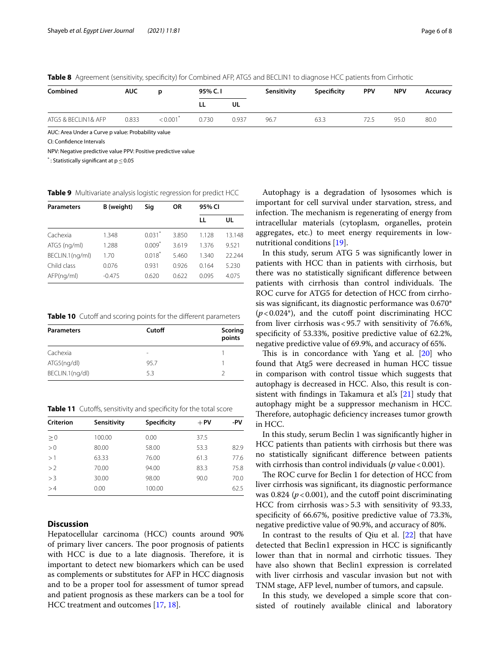<span id="page-5-0"></span>

|  |  | Table 8 Agreement (sensitivity, specificity) for Combined AFP, ATG5 and BECLIN1 to diagnose HCC patients from Cirrhotic |  |  |
|--|--|-------------------------------------------------------------------------------------------------------------------------|--|--|
|--|--|-------------------------------------------------------------------------------------------------------------------------|--|--|

| Combined            | <b>AUC</b> |         | 95% C.I |       | Sensitivity | Specificity | <b>PPV</b> | <b>NPV</b> | Accuracy |
|---------------------|------------|---------|---------|-------|-------------|-------------|------------|------------|----------|
|                     |            |         | ᄔ       | UL    |             |             |            |            |          |
| ATG5 & BECLIN1& AFP | 0.833      | < 0.001 | 0.730   | 0.937 | 96.7        | 63.3        | 72.5       | 95.0       | 80.0     |

AUC: Area Under a Curve p value: Probability value

CI: Confdence Intervals

NPV: Negative predictive value PPV: Positive predictive value

 $^*$ : Statistically significant at p $\leq$  0.05

<span id="page-5-1"></span>**Table 9** Multivariate analysis logistic regression for predict HCC

| <b>Parameters</b> | B (weight) | Sig                  | 0R    | 95% CI |        |
|-------------------|------------|----------------------|-------|--------|--------|
|                   |            |                      |       | LL     | UL     |
| Cachexia          | 1.348      | $0.031$ <sup>*</sup> | 3.850 | 1.128  | 13.148 |
| ATG5 (ng/ml)      | 1.288      | $0.009*$             | 3.619 | 1.376  | 9.521  |
| BECLIN.1(ng/ml)   | 1.70       | $0.018^*$            | 5.460 | 1.340  | 22.244 |
| Child class       | 0.076      | 0.931                | 0.926 | 0.164  | 5.230  |
| AFP(nq/ml)        | $-0.475$   | 0.620                | 0.622 | 0.095  | 4.075  |

<span id="page-5-2"></span>Table 10 Cutoff and scoring points for the different parameters

| <b>Parameters</b> | Cutoff | Scoring<br>points |
|-------------------|--------|-------------------|
| Cachexia          | -      |                   |
| ATG5(nq/dl)       | 95.7   |                   |
| BECLIN.1(ng/dl)   | 5.3    |                   |

<span id="page-5-3"></span>**Table 11** Cutoffs, sensitivity and specificity for the total score

| Criterion | Sensitivity | Specificity | $+$ PV | -PV  |
|-----------|-------------|-------------|--------|------|
| $\geq 0$  | 100.00      | 0.00        | 37.5   |      |
| > 0       | 80.00       | 58.00       | 53.3   | 82.9 |
| >1        | 63.33       | 76.00       | 61.3   | 77.6 |
| >2        | 70.00       | 94.00       | 83.3   | 75.8 |
| >3        | 30.00       | 98.00       | 90.0   | 70.0 |
| >4        | 0.00        | 100.00      |        | 62.5 |

## **Discussion**

Hepatocellular carcinoma (HCC) counts around 90% of primary liver cancers. The poor prognosis of patients with HCC is due to a late diagnosis. Therefore, it is important to detect new biomarkers which can be used as complements or substitutes for AFP in HCC diagnosis and to be a proper tool for assessment of tumor spread and patient prognosis as these markers can be a tool for HCC treatment and outcomes [[17](#page-7-8), [18\]](#page-7-9).

Autophagy is a degradation of lysosomes which is important for cell survival under starvation, stress, and infection. The mechanism is regenerating of energy from intracellular materials (cytoplasm, organelles, protein aggregates, etc.) to meet energy requirements in lownutritional conditions [[19](#page-7-10)].

In this study, serum ATG 5 was signifcantly lower in patients with HCC than in patients with cirrhosis, but there was no statistically signifcant diference between patients with cirrhosis than control individuals. The ROC curve for ATG5 for detection of HCC from cirrhosis was signifcant, its diagnostic performance was 0.670\*  $(p<0.024^*)$ , and the cutoff point discriminating HCC from liver cirrhosis was<95.7 with sensitivity of 76.6%, specifcity of 53.33%, positive predictive value of 62.2%, negative predictive value of 69.9%, and accuracy of 65%.

This is in concordance with Yang et al.  $[20]$  $[20]$  who found that Atg5 were decreased in human HCC tissue in comparison with control tissue which suggests that autophagy is decreased in HCC. Also, this result is con-sistent with findings in Takamura et al's [\[21](#page-7-12)] study that autophagy might be a suppressor mechanism in HCC. Therefore, autophagic deficiency increases tumor growth in HCC.

In this study, serum Beclin 1 was signifcantly higher in HCC patients than patients with cirrhosis but there was no statistically signifcant diference between patients with cirrhosis than control individuals ( $p$  value < 0.001).

The ROC curve for Beclin 1 for detection of HCC from liver cirrhosis was signifcant, its diagnostic performance was 0.824 ( $p$  < 0.001), and the cutoff point discriminating HCC from cirrhosis was>5.3 with sensitivity of 93.33, specifcity of 66.67%, positive predictive value of 73.3%, negative predictive value of 90.9%, and accuracy of 80%.

In contrast to the results of Qiu et al. [[22\]](#page-7-13) that have detected that Beclin1 expression in HCC is signifcantly lower than that in normal and cirrhotic tissues. They have also shown that Beclin1 expression is correlated with liver cirrhosis and vascular invasion but not with TNM stage, AFP level, number of tumors, and capsule.

In this study, we developed a simple score that consisted of routinely available clinical and laboratory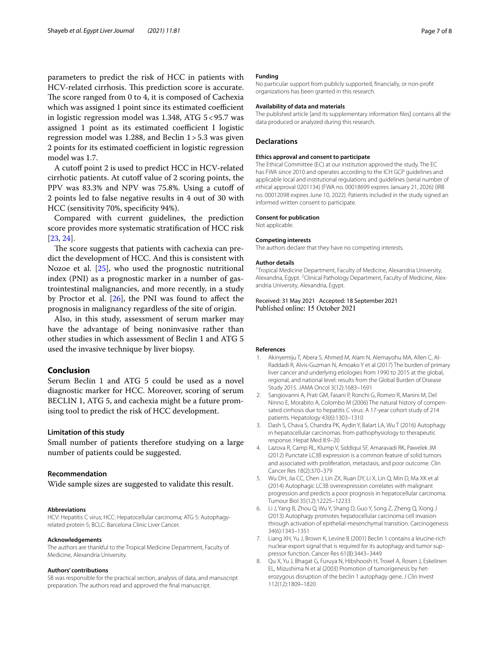parameters to predict the risk of HCC in patients with HCV-related cirrhosis. This prediction score is accurate. The score ranged from  $0$  to  $4$ , it is composed of Cachexia which was assigned 1 point since its estimated coefficient in logistic regression model was 1.348, ATG 5<95.7 was assigned 1 point as its estimated coefficient I logistic regression model was 1.288, and Beclin 1>5.3 was given 2 points for its estimated coefficient in logistic regression model was 1.7.

A cutoff point 2 is used to predict HCC in HCV-related cirrhotic patients. At cutoff value of 2 scoring points, the PPV was 83.3% and NPV was 75.8%. Using a cutoff of 2 points led to false negative results in 4 out of 30 with HCC (sensitivity 70%, specifcity 94%).

Compared with current guidelines, the prediction score provides more systematic stratifcation of HCC risk [[23,](#page-7-14) [24](#page-7-15)].

The score suggests that patients with cachexia can predict the development of HCC. And this is consistent with Nozoe et al. [\[25](#page-7-16)], who used the prognostic nutritional index (PNI) as a prognostic marker in a number of gastrointestinal malignancies, and more recently, in a study by Proctor et al.  $[26]$  $[26]$ , the PNI was found to affect the prognosis in malignancy regardless of the site of origin.

Also, in this study, assessment of serum marker may have the advantage of being noninvasive rather than other studies in which assessment of Beclin 1 and ATG 5 used the invasive technique by liver biopsy.

#### **Conclusion**

Serum Beclin 1 and ATG 5 could be used as a novel diagnostic marker for HCC. Moreover, scoring of serum BECLIN 1, ATG 5, and cachexia might be a future promising tool to predict the risk of HCC development.

#### **Limitation of this study**

Small number of patients therefore studying on a large number of patients could be suggested.

#### **Recommendation**

Wide sample sizes are suggested to validate this result.

#### **Abbreviations**

HCV: Hepatitis C virus; HCC: Hepatocellular carcinoma; ATG 5: Autophagyrelated protein 5; BCLC: Barcelona Clinic Liver Cancer.

#### **Acknowledgements**

The authors are thankful to the Tropical Medicine Department, Faculty of Medicine, Alexandria University.

#### **Authors' contributions**

SB was responsible for the practical section, analysis of data, and manuscript preparation. The authors read and approved the fnal manuscript.

#### **Funding**

No particular support from publicly supported, fnancially, or non-proft organizations has been granted in this research.

#### **Availability of data and materials**

The published article [and its supplementary information fles] contains all the data produced or analyzed during this research.

#### **Declarations**

#### **Ethics approval and consent to participate**

The Ethical Committee (EC) at our institution approved the study. The EC has FWA since 2010 and operates according to the ICH GCP guidelines and applicable local and institutional regulations and guidelines (serial number of ethical approval 0201134) (FWA no. 00018699 expires January 21, 2026) (IRB no. 00012098 expires June 10, 2022). Patients included in the study signed an informed written consent to participate.

#### **Consent for publication**

Not applicable.

#### **Competing interests**

The authors declare that they have no competing interests.

#### **Author details**

<sup>1</sup> Tropical Medicine Department, Faculty of Medicine, Alexandria University, Alexandria, Egypt. <sup>2</sup> Clinical Pathology Department, Faculty of Medicine, Alexandria University, Alexandria, Egypt.

## Received: 31 May 2021 Accepted: 18 September 2021

#### **References**

- <span id="page-6-0"></span>1. Akinyemiju T, Abera S, Ahmed M, Alam N, Alemayohu MA, Allen C, Al-Raddadi R, Alvis-Guzman N, Amoako Y et al (2017) The burden of primary liver cancer and underlying etiologies from 1990 to 2015 at the global, regional, and national level: results from the Global Burden of Disease Study 2015. JAMA Oncol 3(12):1683–1691
- <span id="page-6-1"></span>2. Sangiovanni A, Prati GM, Fasani P, Ronchi G, Romeo R, Manini M, Del Ninno E, Morabito A, Colombo M (2006) The natural history of compensated cirrhosis due to hepatitis C virus: A 17-year cohort study of 214 patients. Hepatology 43(6):1303–1310
- <span id="page-6-2"></span>3. Dash S, Chava S, Chandra PK, Aydin Y, Balart LA, Wu T (2016) Autophagy in hepatocellular carcinomas: from pathophysiology to therapeutic response. Hepat Med 8:9–20
- <span id="page-6-3"></span>4. Lazova R, Camp RL, Klump V, Siddiqui SF, Amaravadi RK, Pawelek JM (2012) Punctate LC3B expression is a common feature of solid tumors and associated with proliferation, metastasis, and poor outcome. Clin Cancer Res 18(2):370–379
- <span id="page-6-4"></span>5. Wu DH, Jia CC, Chen J, Lin ZX, Ruan DY, Li X, Lin Q, Min D, Ma XK et al (2014) Autophagic LC3B overexpression correlates with malignant progression and predicts a poor prognosis in hepatocellular carcinoma. Tumour Biol 35(12):12225–12233
- <span id="page-6-5"></span>6. Li J, Yang B, Zhou Q, Wu Y, Shang D, Guo Y, Song Z, Zheng Q, Xiong J (2013) Autophagy promotes hepatocellular carcinoma cell invasion through activation of epithelial-mesenchymal transition. Carcinogenesis 34(6):1343–1351
- <span id="page-6-6"></span>7. Liang XH, Yu J, Brown K, Levine B (2001) Beclin 1 contains a leucine-rich nuclear export signal that is required for its autophagy and tumor suppressor function. Cancer Res 61(8):3443–3449
- <span id="page-6-7"></span>8. Qu X, Yu J, Bhagat G, Furuya N, Hibshoosh H, Troxel A, Rosen J, Eskelinen EL, Mizushima N et al (2003) Promotion of tumorigenesis by heterozygous disruption of the beclin 1 autophagy gene. J Clin Invest 112(12):1809–1820